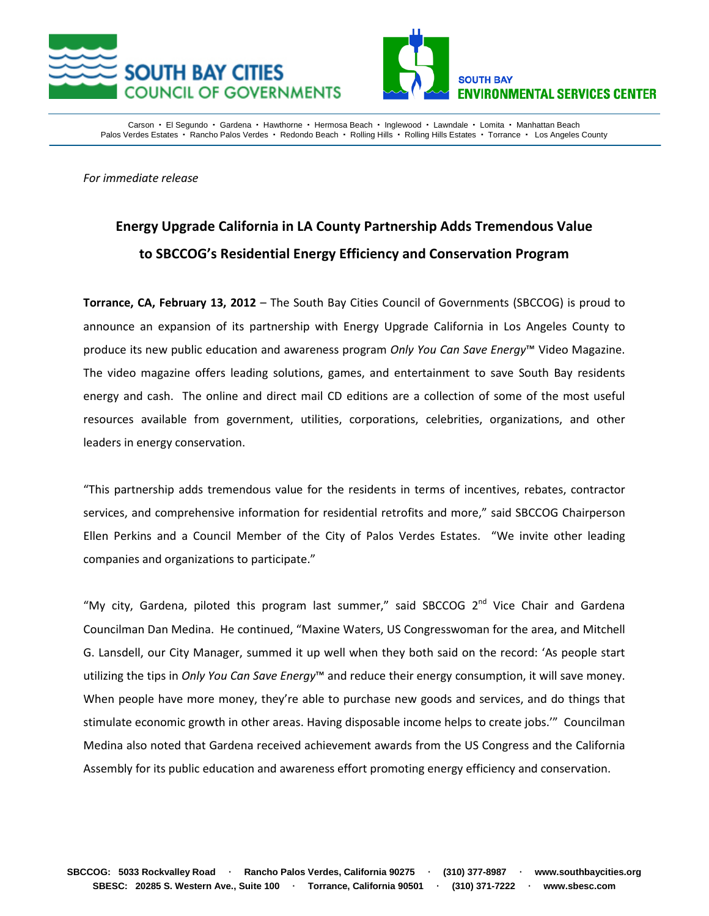



Carson · El Segundo · Gardena · Hawthorne · Hermosa Beach · Inglewood · Lawndale · Lomita · Manhattan Beach Palos Verdes Estates · Rancho Palos Verdes · Redondo Beach · Rolling Hills · Rolling Hills Estates · Torrance · Los Angeles County

*For immediate release*

## **Energy Upgrade California in LA County Partnership Adds Tremendous Value to SBCCOG's Residential Energy Efficiency and Conservation Program**

**Torrance, CA, February 13, 2012** – The South Bay Cities Council of Governments (SBCCOG) is proud to announce an expansion of its partnership with Energy Upgrade California in Los Angeles County to produce its new public education and awareness program *Only You Can Save Energy*™ Video Magazine. The video magazine offers leading solutions, games, and entertainment to save South Bay residents energy and cash. The online and direct mail CD editions are a collection of some of the most useful resources available from government, utilities, corporations, celebrities, organizations, and other leaders in energy conservation.

"This partnership adds tremendous value for the residents in terms of incentives, rebates, contractor services, and comprehensive information for residential retrofits and more," said SBCCOG Chairperson Ellen Perkins and a Council Member of the City of Palos Verdes Estates. "We invite other leading companies and organizations to participate."

"My city, Gardena, piloted this program last summer," said SBCCOG 2<sup>nd</sup> Vice Chair and Gardena Councilman Dan Medina. He continued, "Maxine Waters, US Congresswoman for the area, and Mitchell G. Lansdell, our City Manager, summed it up well when they both said on the record: 'As people start utilizing the tips in *Only You Can Save Energy*™ and reduce their energy consumption, it will save money. When people have more money, they're able to purchase new goods and services, and do things that stimulate economic growth in other areas. Having disposable income helps to create jobs.'" Councilman Medina also noted that Gardena received achievement awards from the US Congress and the California Assembly for its public education and awareness effort promoting energy efficiency and conservation.